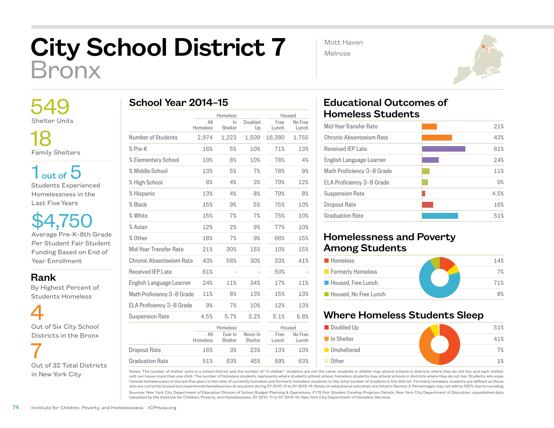## City School District 7 Bronx

 549 Shelter Units

 18 Family Shelters

 $1<sub>out of</sub> 5$ Students Experienced Homelessness in the Last Five Years

\$4,750 Average Pre-K–8th Grade Per Student Fair Student Funding Based on End of Year Enrollment

Rank

 By Highest Percent of Students Homeless

 4 Out of Six City School Districts in the Bronx

 7 Out of 32 Total Districts in New York City

|                            |                 | Homeless           |                     | Housed        |                  |
|----------------------------|-----------------|--------------------|---------------------|---------------|------------------|
|                            | All<br>Homeless | In.<br>Shelter     | Doubled<br>Up       | Free<br>Lunch | No Free<br>Lunch |
| Number of Students         | 2,974           | 1,223              | 1,509               | 16,380        | 1,755            |
| % Pre-K                    | 16%             | 5%                 | 10%                 | 71%           | 13%              |
| % Elementary School        | 19%             | 8%                 | 10%                 | 78%           | 4%               |
| % Middle School            | 13%             | 5%                 | 7%                  | 78%           | 9%               |
| % High School              | 8%              | 4%                 | 3%                  | 79%           | 12%              |
| % Hispanic                 | 13%             | 4%                 | 8%                  | 79%           | 8%               |
| % Black                    | 15%             | 9%                 | 5%                  | 75%           | 10%              |
| % White                    | 15%             | 7%                 | 7%                  | 75%           | 10%              |
| % Asian                    | 12%             | 2%                 | 9%                  | 77%           | 10%              |
| % Other                    | 18%             | 7%                 | 9%                  | 66%           | 15%              |
| Mid-Year Transfer Rate     | 21%             | 30%                | 15%                 | 10%           | 15%              |
| Chronic Absenteeism Rate   | 43%             | 58%                | 30%                 | 33%           | 41%              |
| Received IFP Late          | 61%             |                    |                     | 50%           |                  |
| English Language Learner   | 24%             | 11%                | 34%                 | 17%           | 11%              |
| Math Proficiency 3-8 Grade | 11%             | 8%                 | 13%                 | 15%           | 13%              |
| ELA Proficiency 3-8 Grade  | 9%              | 7%                 | 10%                 | 12%           | 13%              |
| <b>Suspension Rate</b>     | 4.5%            | 5.7%               | 3.2%                | 5.1%          | 5.8%             |
|                            |                 | Homeless           |                     | Housed        |                  |
|                            | All<br>Homeless | Ever In<br>Shelter | Never In<br>Shelter | Free<br>Lunch | No Free<br>Lunch |
| <b>Dropout Rate</b>        | 16%             | 3%                 | 23%                 | 13%           | 10%              |

51% 63% 45% 59% 63%

Mott Haven

Melrose



## Educational Outcomes of Homeless Students

| Mid-Year Transfer Rate     | 21%  |
|----------------------------|------|
| Chronic Absenteeism Rate   | 43%  |
| Received IFP Late          | 61%  |
| English Language Learner   | 24%  |
| Math Proficiency 3-8 Grade | 11%  |
| ELA Proficiency 3-8 Grade  | 9%   |
| <b>Suspension Rate</b>     | 4.5% |
| Dropout Rate               | 16%  |
| Graduation Rate            | 51%  |
|                            |      |

## Homelessness and Poverty Among Students

| <b>Homeless</b>       | 14% |
|-----------------------|-----|
| Formerly Homeless     | 7%  |
| Housed, Free Lunch    | 71% |
| Housed. No Free Lunch | 8%  |

## Where Homeless Students Sleep



Notes: The number of shelter units in a school district and the number of "in shelter" students are not the same; students in shelter may attend schools in districts where they do not live, and each shelter unit can house more than one child. The number of homeless students represents where students attend school; homeless students may attend schools in districts where they do not live. Students who experienced homelessness in the last five years is the ratio of currently homeless and formerly homeless students to the total number of students in the district. Formerly homeless students are defined as those who are currently housed but experienced homelessness at any point during SY 2010–11 to SY 2013–14. Notes on educational outcomes are listed in Section 3. Percentages may not add to 100% due to rounding.

Sources: New York City Department of Education Division of School Budget Planning & Operations, *FY15 Fair Student Funding Program Details*; New York City Department of Education, unpublished data tabulated by the Institute for Children, Poverty, and Homelessness, SY 2010–11 to SY 2014–15; New York City Department of Homeless Services.

Graduation Rate